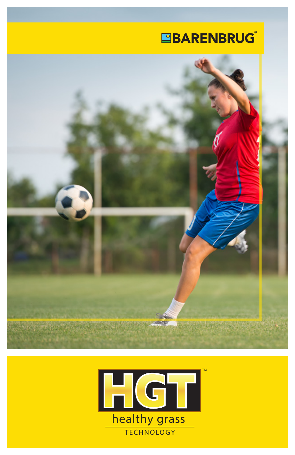# **EBARENBRUG**



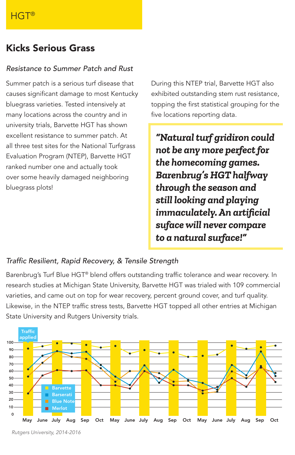# Kicks Serious Grass

### *Resistance to Summer Patch and Rust*

Summer patch is a serious turf disease that causes significant damage to most Kentucky bluegrass varieties. Tested intensively at many locations across the country and in university trials, Barvette HGT has shown excellent resistance to summer patch. At all three test sites for the National Turfgrass Evaluation Program (NTEP), Barvette HGT ranked number one and actually took over some heavily damaged neighboring bluegrass plots!

During this NTEP trial, Barvette HGT also exhibited outstanding stem rust resistance, topping the first statistical grouping for the five locations reporting data.

*"Natural turf gridiron could not be any more perfect for the homecoming games. Barenbrug's HGT halfway through the season and still looking and playing immaculately. An artificial suface will never compare to a natural surface!"*

### *Traffic Resilient, Rapid Recovery, & Tensile Strength*

Barenbrug's Turf Blue HGT® blend offers outstanding traffic tolerance and wear recovery. In research studies at Michigan State University, Barvette HGT was trialed with 109 commercial varieties, and came out on top for wear recovery, percent ground cover, and turf quality. Likewise, in the NTEP traffic stress tests, Barvette HGT topped all other entries at Michigan State University and Rutgers University trials.



*Rutgers University, 2014-2016*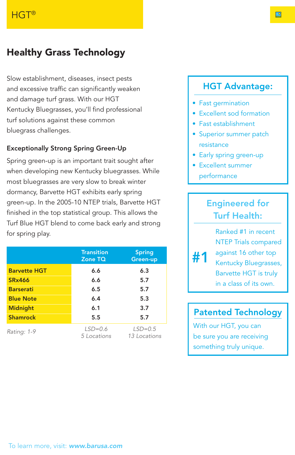# Healthy Grass Technology

Slow establishment, diseases, insect pests and excessive traffic can significantly weaken and damage turf grass. With our HGT Kentucky Bluegrasses, you'll find professional turf solutions against these common bluegrass challenges.

#### Exceptionally Strong Spring Green-Up

Spring green-up is an important trait sought after when developing new Kentucky bluegrasses. While most bluegrasses are very slow to break winter dormancy, Barvette HGT exhibits early spring green-up. In the 2005-10 NTEP trials, Barvette HGT finished in the top statistical group. This allows the Turf Blue HGT blend to come back early and strong for spring play.

|                     | <b>Transition</b><br>Zone TQ | <b>Spring</b><br>Green-up |
|---------------------|------------------------------|---------------------------|
| <b>Barvette HGT</b> | 6.6                          | 6.3                       |
| <b>SRx466</b>       | 6.6                          | 5.7                       |
| <b>Barserati</b>    | 6.5                          | 5.7                       |
| <b>Blue Note</b>    | 6.4                          | 5.3                       |
| <b>Midnight</b>     | 6.1                          | 3.7                       |
| <b>Shamrock</b>     | 5.5                          | 5.7                       |
| Rating: 1-9         | $LSD=0.6$<br>5 Locations     | $LSD=0.5$<br>13 Locations |

### HGT Advantage:

- Fast germination
- Excellent sod formation
- Fast establishment
- Superior summer patch resistance
- Early spring green-up
- Excellent summer performance

#1

### Engineered for Turf Health:

Ranked #1 in recent NTEP Trials compared against 16 other top Kentucky Bluegrasses, Barvette HGT is truly in a class of its own.

### Patented Technology

With our HGT, you can be sure you are receiving something truly unique.